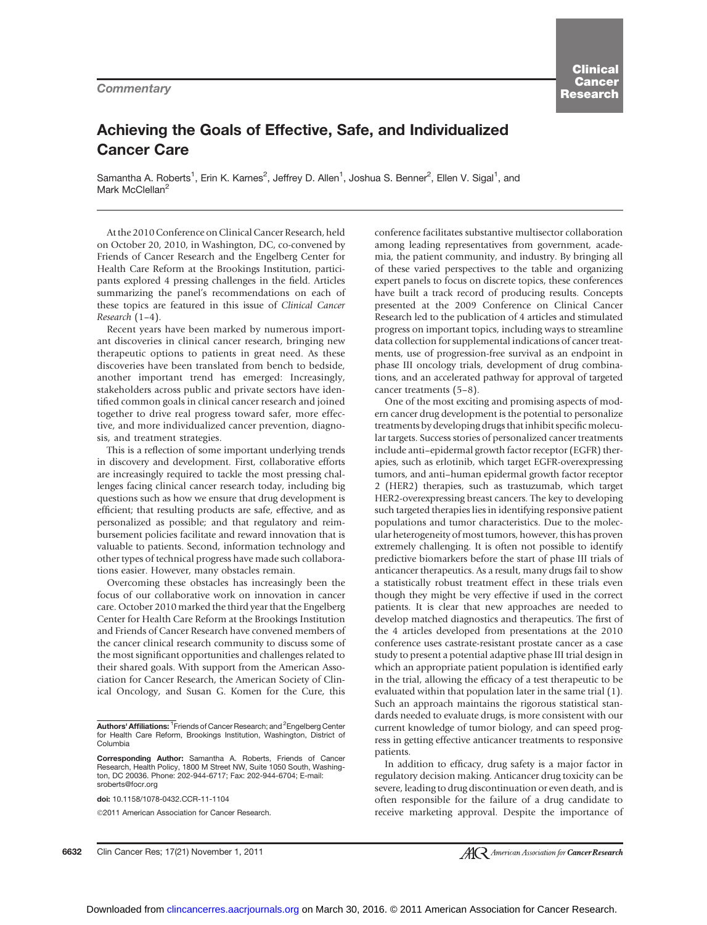### Achieving the Goals of Effective, Safe, and Individualized Cancer Care

Samantha A. Roberts<sup>1</sup>, Erin K. Karnes<sup>2</sup>, Jeffrey D. Allen<sup>1</sup>, Joshua S. Benner<sup>2</sup>, Ellen V. Sigal<sup>1</sup>, and Mark McClellan<sup>2</sup>

At the 2010 Conference on Clinical Cancer Research, held on October 20, 2010, in Washington, DC, co-convened by Friends of Cancer Research and the Engelberg Center for Health Care Reform at the Brookings Institution, participants explored 4 pressing challenges in the field. Articles summarizing the panel's recommendations on each of these topics are featured in this issue of Clinical Cancer Research (1–4).

Recent years have been marked by numerous important discoveries in clinical cancer research, bringing new therapeutic options to patients in great need. As these discoveries have been translated from bench to bedside, another important trend has emerged: Increasingly, stakeholders across public and private sectors have identified common goals in clinical cancer research and joined together to drive real progress toward safer, more effective, and more individualized cancer prevention, diagnosis, and treatment strategies.

This is a reflection of some important underlying trends in discovery and development. First, collaborative efforts are increasingly required to tackle the most pressing challenges facing clinical cancer research today, including big questions such as how we ensure that drug development is efficient; that resulting products are safe, effective, and as personalized as possible; and that regulatory and reimbursement policies facilitate and reward innovation that is valuable to patients. Second, information technology and other types of technical progress have made such collaborations easier. However, many obstacles remain.

Overcoming these obstacles has increasingly been the focus of our collaborative work on innovation in cancer care. October 2010 marked the third year that the Engelberg Center for Health Care Reform at the Brookings Institution and Friends of Cancer Research have convened members of the cancer clinical research community to discuss some of the most significant opportunities and challenges related to their shared goals. With support from the American Association for Cancer Research, the American Society of Clinical Oncology, and Susan G. Komen for the Cure, this

doi: 10.1158/1078-0432.CCR-11-1104

2011 American Association for Cancer Research.

conference facilitates substantive multisector collaboration among leading representatives from government, academia, the patient community, and industry. By bringing all of these varied perspectives to the table and organizing expert panels to focus on discrete topics, these conferences have built a track record of producing results. Concepts presented at the 2009 Conference on Clinical Cancer Research led to the publication of 4 articles and stimulated progress on important topics, including ways to streamline data collection for supplemental indications of cancer treatments, use of progression-free survival as an endpoint in phase III oncology trials, development of drug combinations, and an accelerated pathway for approval of targeted cancer treatments (5–8).

One of the most exciting and promising aspects of modern cancer drug development is the potential to personalize treatments by developing drugs that inhibit specific molecular targets. Success stories of personalized cancer treatments include anti–epidermal growth factor receptor (EGFR) therapies, such as erlotinib, which target EGFR-overexpressing tumors, and anti–human epidermal growth factor receptor 2 (HER2) therapies, such as trastuzumab, which target HER2-overexpressing breast cancers. The key to developing such targeted therapies lies in identifying responsive patient populations and tumor characteristics. Due to the molecular heterogeneity of most tumors, however, this has proven extremely challenging. It is often not possible to identify predictive biomarkers before the start of phase III trials of anticancer therapeutics. As a result, many drugs fail to show a statistically robust treatment effect in these trials even though they might be very effective if used in the correct patients. It is clear that new approaches are needed to develop matched diagnostics and therapeutics. The first of the 4 articles developed from presentations at the 2010 conference uses castrate-resistant prostate cancer as a case study to present a potential adaptive phase III trial design in which an appropriate patient population is identified early in the trial, allowing the efficacy of a test therapeutic to be evaluated within that population later in the same trial (1). Such an approach maintains the rigorous statistical standards needed to evaluate drugs, is more consistent with our current knowledge of tumor biology, and can speed progress in getting effective anticancer treatments to responsive patients.

In addition to efficacy, drug safety is a major factor in regulatory decision making. Anticancer drug toxicity can be severe, leading to drug discontinuation or even death, and is often responsible for the failure of a drug candidate to receive marketing approval. Despite the importance of

Authors' Affiliations: <sup>1</sup>Friends of Cancer Research; and <sup>2</sup>Engelberg Center for Health Care Reform, Brookings Institution, Washington, District of Columbia

Corresponding Author: Samantha A. Roberts, Friends of Cancer Research, Health Policy, 1800 M Street NW, Suite 1050 South, Washington, DC 20036. Phone: 202-944-6717; Fax: 202-944-6704; E-mail: sroberts@focr.org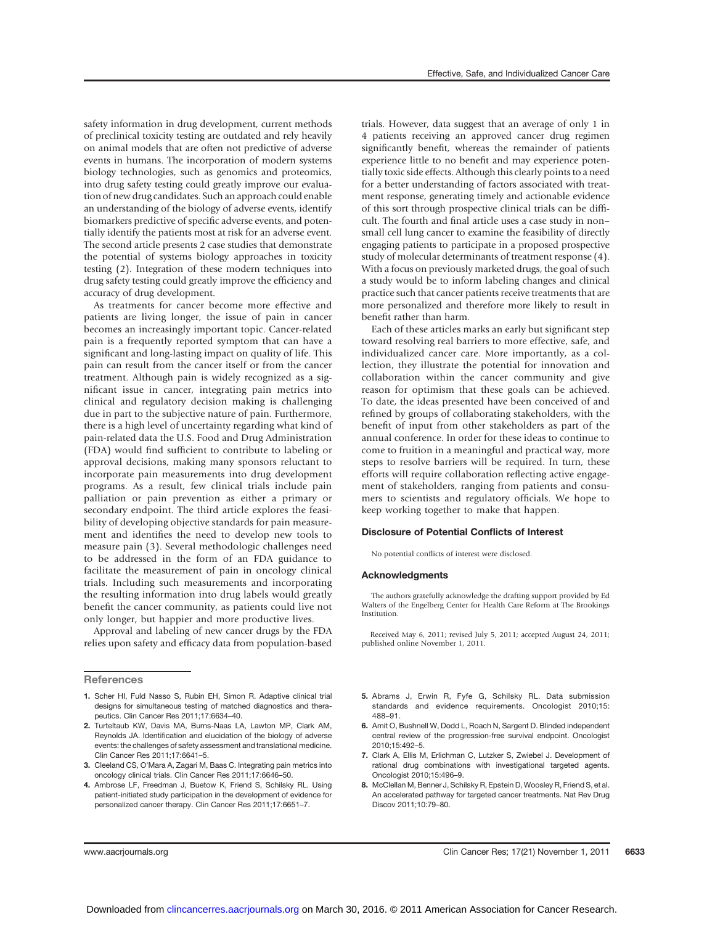safety information in drug development, current methods of preclinical toxicity testing are outdated and rely heavily on animal models that are often not predictive of adverse events in humans. The incorporation of modern systems biology technologies, such as genomics and proteomics, into drug safety testing could greatly improve our evaluation of new drug candidates. Such an approach could enable an understanding of the biology of adverse events, identify biomarkers predictive of specific adverse events, and potentially identify the patients most at risk for an adverse event. The second article presents 2 case studies that demonstrate the potential of systems biology approaches in toxicity testing (2). Integration of these modern techniques into drug safety testing could greatly improve the efficiency and accuracy of drug development.

As treatments for cancer become more effective and patients are living longer, the issue of pain in cancer becomes an increasingly important topic. Cancer-related pain is a frequently reported symptom that can have a significant and long-lasting impact on quality of life. This pain can result from the cancer itself or from the cancer treatment. Although pain is widely recognized as a significant issue in cancer, integrating pain metrics into clinical and regulatory decision making is challenging due in part to the subjective nature of pain. Furthermore, there is a high level of uncertainty regarding what kind of pain-related data the U.S. Food and Drug Administration (FDA) would find sufficient to contribute to labeling or approval decisions, making many sponsors reluctant to incorporate pain measurements into drug development programs. As a result, few clinical trials include pain palliation or pain prevention as either a primary or secondary endpoint. The third article explores the feasibility of developing objective standards for pain measurement and identifies the need to develop new tools to measure pain (3). Several methodologic challenges need to be addressed in the form of an FDA guidance to facilitate the measurement of pain in oncology clinical trials. Including such measurements and incorporating the resulting information into drug labels would greatly benefit the cancer community, as patients could live not only longer, but happier and more productive lives.

Approval and labeling of new cancer drugs by the FDA relies upon safety and efficacy data from population-based

#### **References**

- 1. Scher HI, Fuld Nasso S, Rubin EH, Simon R. Adaptive clinical trial designs for simultaneous testing of matched diagnostics and therapeutics. Clin Cancer Res 2011;17:6634–40.
- 2. Turteltaub KW, Davis MA, Burns-Naas LA, Lawton MP, Clark AM, Reynolds JA. Identification and elucidation of the biology of adverse events: the challenges of safety assessment and translational medicine. Clin Cancer Res 2011;17:6641–5.
- 3. Cleeland CS, O'Mara A, Zagari M, Baas C. Integrating pain metrics into oncology clinical trials. Clin Cancer Res 2011;17:6646–50.
- 4. Ambrose LF, Freedman J, Buetow K, Friend S, Schilsky RL. Using patient-initiated study participation in the development of evidence for personalized cancer therapy. Clin Cancer Res 2011;17:6651–7.

trials. However, data suggest that an average of only 1 in 4 patients receiving an approved cancer drug regimen significantly benefit, whereas the remainder of patients experience little to no benefit and may experience potentially toxic side effects. Although this clearly points to a need for a better understanding of factors associated with treatment response, generating timely and actionable evidence of this sort through prospective clinical trials can be difficult. The fourth and final article uses a case study in non– small cell lung cancer to examine the feasibility of directly engaging patients to participate in a proposed prospective study of molecular determinants of treatment response (4). With a focus on previously marketed drugs, the goal of such a study would be to inform labeling changes and clinical

practice such that cancer patients receive treatments that are more personalized and therefore more likely to result in

benefit rather than harm. Each of these articles marks an early but significant step toward resolving real barriers to more effective, safe, and individualized cancer care. More importantly, as a collection, they illustrate the potential for innovation and collaboration within the cancer community and give reason for optimism that these goals can be achieved. To date, the ideas presented have been conceived of and refined by groups of collaborating stakeholders, with the benefit of input from other stakeholders as part of the annual conference. In order for these ideas to continue to come to fruition in a meaningful and practical way, more steps to resolve barriers will be required. In turn, these efforts will require collaboration reflecting active engagement of stakeholders, ranging from patients and consumers to scientists and regulatory officials. We hope to keep working together to make that happen.

#### Disclosure of Potential Conflicts of Interest

No potential conflicts of interest were disclosed.

#### Acknowledgments

The authors gratefully acknowledge the drafting support provided by Ed Walters of the Engelberg Center for Health Care Reform at The Brookings Institution.

Received May 6, 2011; revised July 5, 2011; accepted August 24, 2011; published online November 1, 2011.

- 5. Abrams J, Erwin R, Fyfe G, Schilsky RL. Data submission standards and evidence requirements. Oncologist 2010;15: 488–91.
- 6. Amit O, Bushnell W, Dodd L, Roach N, Sargent D. Blinded independent central review of the progression-free survival endpoint. Oncologist 2010;15:492–5.
- 7. Clark A, Ellis M, Erlichman C, Lutzker S, Zwiebel J. Development of rational drug combinations with investigational targeted agents. Oncologist 2010;15:496–9.
- 8. McClellan M, Benner J, Schilsky R, Epstein D, Woosley R, Friend S, et al. An accelerated pathway for targeted cancer treatments. Nat Rev Drug Discov 2011;10:79–80.